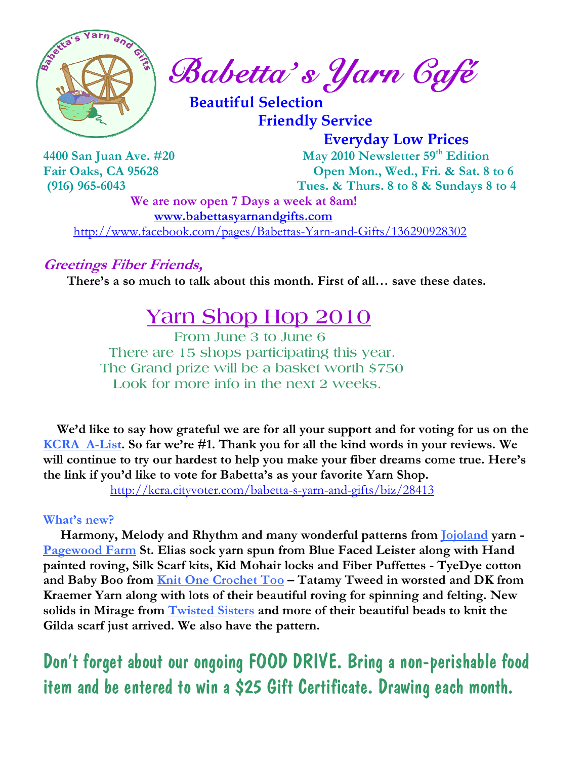

Babetta' s Yarn Café

 Beautiful Selection Friendly Service

Everyday Low Prices

4400 San Juan Ave. #20 May 2010 Newsletter 59<sup>th</sup> Edition Fair Oaks, CA 95628 Open Mon., Wed., Fri. & Sat. 8 to 6 (916) 965-6043 Tues. & Thurs. 8 to 8 & Sundays 8 to 4

> We are now open 7 Days a week at 8am! www.babettasyarnandgifts.com

http://www.facebook.com/pages/Babettas-Yarn-and-Gifts/136290928302

### Greetings Fiber Friends,

There's a so much to talk about this month. First of all… save these dates.

# Yarn Shop Hop 2010

 From June 3 to June 6 There are 15 shops participating this year. The Grand prize will be a basket worth \$750 Look for more info in the next 2 weeks.

 We'd like to say how grateful we are for all your support and for voting for us on the KCRA A-List. So far we're #1. Thank you for all the kind words in your reviews. We will continue to try our hardest to help you make your fiber dreams come true. Here's the link if you'd like to vote for Babetta's as your favorite Yarn Shop.

http://kcra.cityvoter.com/babetta-s-yarn-and-gifts/biz/28413

#### What's new?

Harmony, Melody and Rhythm and many wonderful patterns from Jojoland yarn -Pagewood Farm St. Elias sock yarn spun from Blue Faced Leister along with Hand painted roving, Silk Scarf kits, Kid Mohair locks and Fiber Puffettes - TyeDye cotton and Baby Boo from Knit One Crochet Too – Tatamy Tweed in worsted and DK from Kraemer Yarn along with lots of their beautiful roving for spinning and felting. New solids in Mirage from **Twisted Sisters** and more of their beautiful beads to knit the Gilda scarf just arrived. We also have the pattern.

Don't forget about our ongoing FOOD DRIVE. Bring a non-perishable food item and be entered to win a \$25 Gift Certificate. Drawing each month.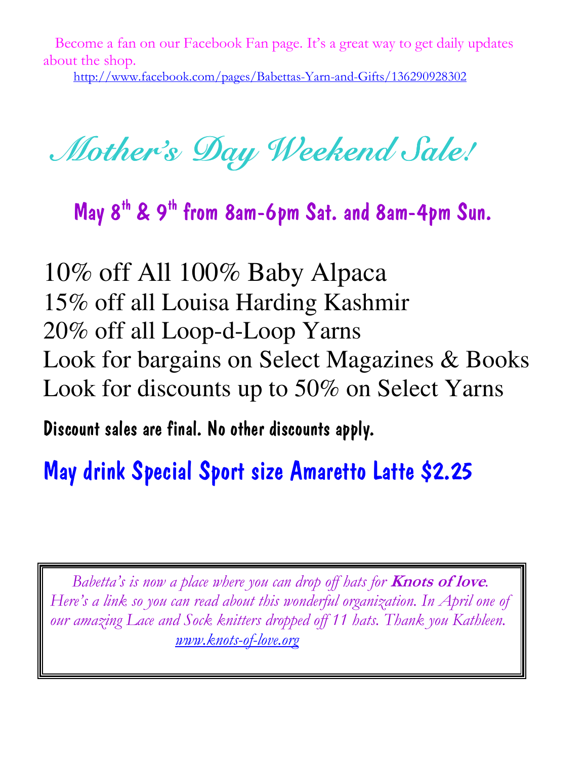Become a fan on our Facebook Fan page. It's a great way to get daily updates about the shop.

http://www.facebook.com/pages/Babettas-Yarn-and-Gifts/136290928302

Mother's Day Weekend Sale!

May 8th & 9th from 8am-6pm Sat. and 8am-4pm Sun.

10% off All 100% Baby Alpaca 15% off all Louisa Harding Kashmir 20% off all Loop-d-Loop Yarns Look for bargains on Select Magazines & Books Look for discounts up to 50% on Select Yarns

Discount sales are final. No other discounts apply.

May drink Special Sport size Amaretto Latte \$2.25

Babetta's is now a place where you can drop off hats for **Knots of love**. Here's a link so you can read about this wonderful organization. In April one of our amazing Lace and Sock knitters dropped off 11 hats. Thank you Kathleen. www.knots-of-love.org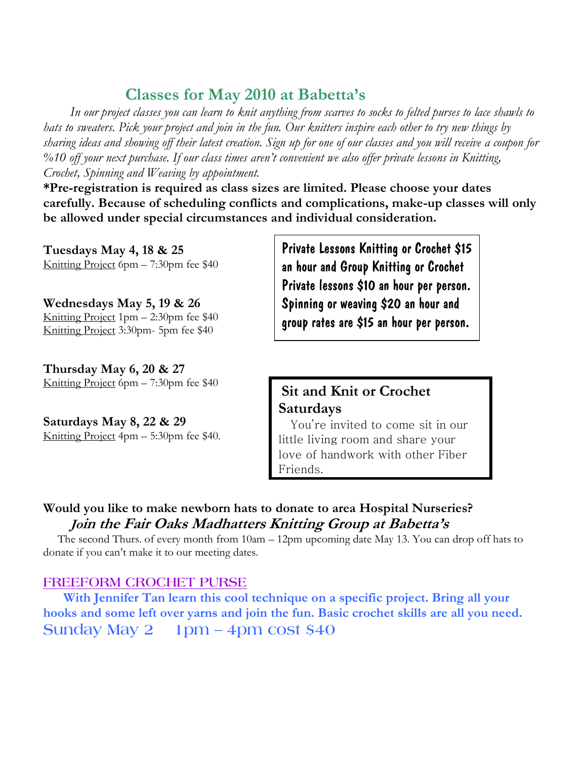## Classes for May 2010 at Babetta's

 In our project classes you can learn to knit anything from scarves to socks to felted purses to lace shawls to hats to sweaters. Pick your project and join in the fun. Our knitters inspire each other to try new things by sharing ideas and showing off their latest creation. Sign up for one of our classes and you will receive a coupon for %10 off your next purchase. If our class times aren't convenient we also offer private lessons in Knitting, Crochet, Spinning and Weaving by appointment.

\*Pre-registration is required as class sizes are limited. Please choose your dates carefully. Because of scheduling conflicts and complications, make-up classes will only be allowed under special circumstances and individual consideration.

Tuesdays May 4, 18 & 25 Knitting Project 6pm – 7:30pm fee \$40

Wednesdays May 5, 19 & 26 Knitting Project 1pm – 2:30pm fee \$40 Knitting Project 3:30pm- 5pm fee \$40

Thursday May 6, 20 & 27 Knitting Project 6pm – 7:30pm fee \$40

Saturdays May 8, 22 & 29 Knitting Project 4pm – 5:30pm fee \$40. Private Lessons Knitting or Crochet \$15 an hour and Group Knitting or Crochet Private lessons \$10 an hour per person. Spinning or weaving \$20 an hour and group rates are \$15 an hour per person.

## Sit and Knit or Crochet Saturdays

 You're invited to come sit in our little living room and share your love of handwork with other Fiber Friends.

#### Would you like to make newborn hats to donate to area Hospital Nurseries? Join the Fair Oaks Madhatters Knitting Group at Babetta's

 The second Thurs. of every month from 10am – 12pm upcoming date May 13. You can drop off hats to donate if you can't make it to our meeting dates.

#### FREEFORM CROCHET PURSE

 With Jennifer Tan learn this cool technique on a specific project. Bring all your hooks and some left over yarns and join the fun. Basic crochet skills are all you need. Sunday May 2 1pm – 4pm cost \$40